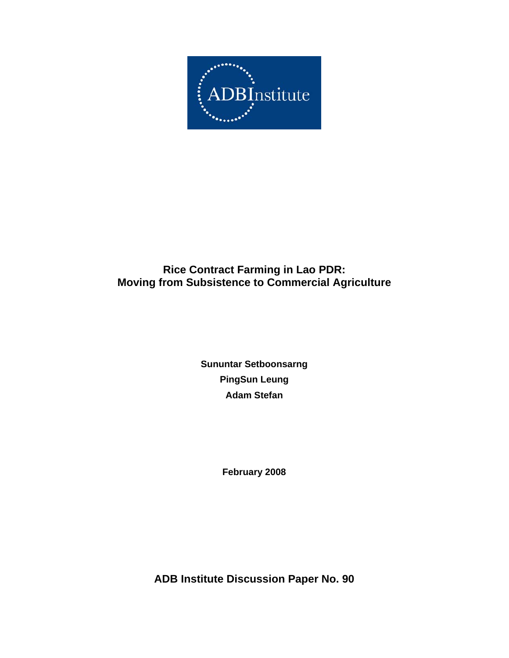

# **Rice Contract Farming in Lao PDR: Moving from Subsistence to Commercial Agriculture**

**Sununtar Setboonsarng PingSun Leung Adam Stefan** 

**February 2008** 

**ADB Institute Discussion Paper No. 90**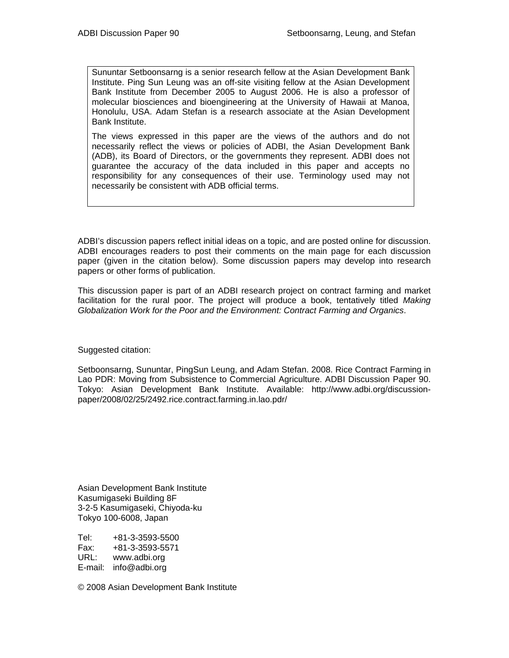Sununtar Setboonsarng is a senior research fellow at the Asian Development Bank Institute. Ping Sun Leung was an off-site visiting fellow at the Asian Development Bank Institute from December 2005 to August 2006. He is also a professor of molecular biosciences and bioengineering at the University of Hawaii at Manoa, Honolulu, USA. Adam Stefan is a research associate at the Asian Development Bank Institute.

The views expressed in this paper are the views of the authors and do not necessarily reflect the views or policies of ADBI, the Asian Development Bank (ADB), its Board of Directors, or the governments they represent. ADBI does not guarantee the accuracy of the data included in this paper and accepts no responsibility for any consequences of their use. Terminology used may not necessarily be consistent with ADB official terms.

ADBI's discussion papers reflect initial ideas on a topic, and are posted online for discussion. ADBI encourages readers to post their comments on the main page for each discussion paper (given in the citation below). Some discussion papers may develop into research papers or other forms of publication.

This discussion paper is part of an ADBI research project on contract farming and market facilitation for the rural poor. The project will produce a book, tentatively titled *Making Globalization Work for the Poor and the Environment: Contract Farming and Organics*.

Suggested citation:

Setboonsarng, Sununtar, PingSun Leung, and Adam Stefan. 2008. Rice Contract Farming in Lao PDR: Moving from Subsistence to Commercial Agriculture. ADBI Discussion Paper 90. Tokyo: Asian Development Bank Institute. Available: http://www.adbi.org/discussionpaper/2008/02/25/2492.rice.contract.farming.in.lao.pdr/

Asian Development Bank Institute Kasumigaseki Building 8F 3-2-5 Kasumigaseki, Chiyoda-ku Tokyo 100-6008, Japan

Tel: +81-3-3593-5500 Fax: +81-3-3593-5571 URL: www.adbi.org E-mail: info@adbi.org

© 2008 Asian Development Bank Institute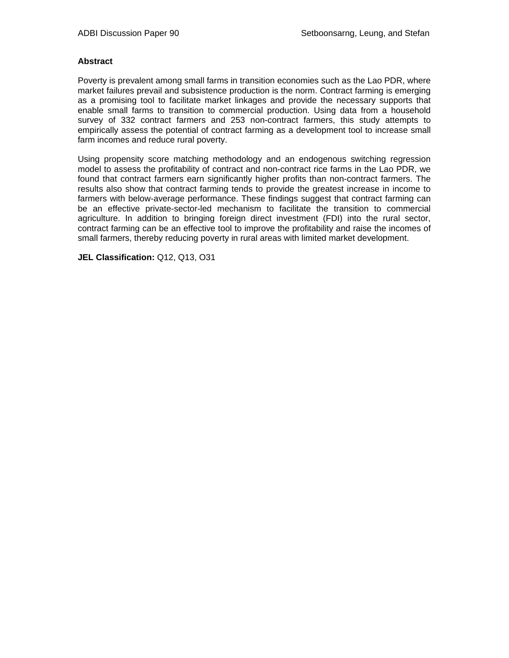#### **Abstract**

Poverty is prevalent among small farms in transition economies such as the Lao PDR, where market failures prevail and subsistence production is the norm. Contract farming is emerging as a promising tool to facilitate market linkages and provide the necessary supports that enable small farms to transition to commercial production. Using data from a household survey of 332 contract farmers and 253 non-contract farmers, this study attempts to empirically assess the potential of contract farming as a development tool to increase small farm incomes and reduce rural poverty.

Using propensity score matching methodology and an endogenous switching regression model to assess the profitability of contract and non-contract rice farms in the Lao PDR, we found that contract farmers earn significantly higher profits than non-contract farmers. The results also show that contract farming tends to provide the greatest increase in income to farmers with below-average performance. These findings suggest that contract farming can be an effective private-sector-led mechanism to facilitate the transition to commercial agriculture. In addition to bringing foreign direct investment (FDI) into the rural sector, contract farming can be an effective tool to improve the profitability and raise the incomes of small farmers, thereby reducing poverty in rural areas with limited market development.

**JEL Classification:** Q12, Q13, O31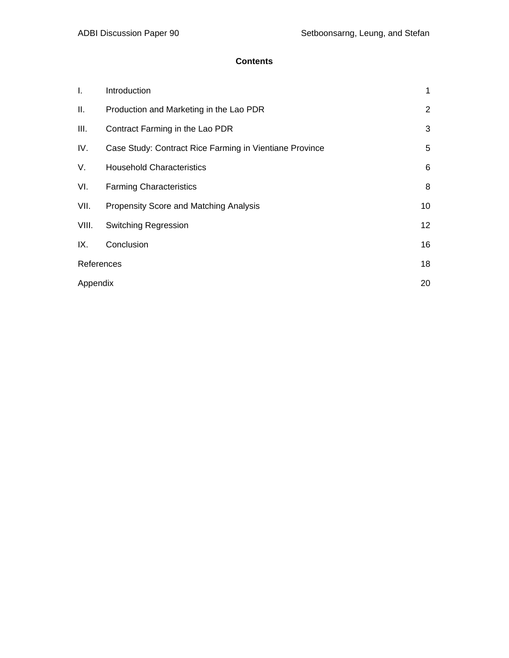# **Contents**

| I.         | Introduction                                            | 1               |
|------------|---------------------------------------------------------|-----------------|
| Ш.         | Production and Marketing in the Lao PDR                 | $\overline{2}$  |
| III.       | Contract Farming in the Lao PDR                         | 3               |
| IV.        | Case Study: Contract Rice Farming in Vientiane Province | 5               |
| V.         | <b>Household Characteristics</b>                        | 6               |
| VI.        | <b>Farming Characteristics</b>                          | 8               |
| VII.       | <b>Propensity Score and Matching Analysis</b>           | 10              |
| VIII.      | <b>Switching Regression</b>                             | 12 <sup>2</sup> |
| IX.        | Conclusion                                              | 16              |
| References |                                                         | 18              |
| Appendix   |                                                         | 20              |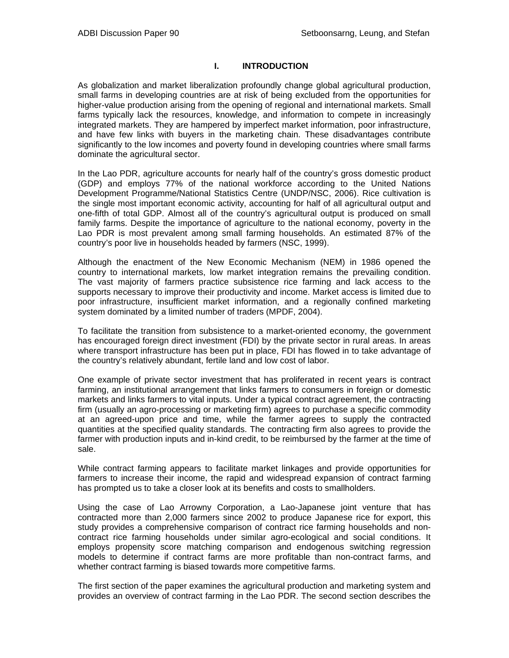# **I. INTRODUCTION**

As globalization and market liberalization profoundly change global agricultural production, small farms in developing countries are at risk of being excluded from the opportunities for higher-value production arising from the opening of regional and international markets. Small farms typically lack the resources, knowledge, and information to compete in increasingly integrated markets. They are hampered by imperfect market information, poor infrastructure, and have few links with buyers in the marketing chain. These disadvantages contribute significantly to the low incomes and poverty found in developing countries where small farms dominate the agricultural sector.

In the Lao PDR, agriculture accounts for nearly half of the country's gross domestic product (GDP) and employs 77% of the national workforce according to the United Nations Development Programme/National Statistics Centre (UNDP/NSC, 2006). Rice cultivation is the single most important economic activity, accounting for half of all agricultural output and one-fifth of total GDP. Almost all of the country's agricultural output is produced on small family farms. Despite the importance of agriculture to the national economy, poverty in the Lao PDR is most prevalent among small farming households. An estimated 87% of the country's poor live in households headed by farmers (NSC, 1999).

Although the enactment of the New Economic Mechanism (NEM) in 1986 opened the country to international markets, low market integration remains the prevailing condition. The vast majority of farmers practice subsistence rice farming and lack access to the supports necessary to improve their productivity and income. Market access is limited due to poor infrastructure, insufficient market information, and a regionally confined marketing system dominated by a limited number of traders (MPDF, 2004).

To facilitate the transition from subsistence to a market-oriented economy, the government has encouraged foreign direct investment (FDI) by the private sector in rural areas. In areas where transport infrastructure has been put in place, FDI has flowed in to take advantage of the country's relatively abundant, fertile land and low cost of labor.

One example of private sector investment that has proliferated in recent years is contract farming, an institutional arrangement that links farmers to consumers in foreign or domestic markets and links farmers to vital inputs. Under a typical contract agreement, the contracting firm (usually an agro-processing or marketing firm) agrees to purchase a specific commodity at an agreed-upon price and time, while the farmer agrees to supply the contracted quantities at the specified quality standards. The contracting firm also agrees to provide the farmer with production inputs and in-kind credit, to be reimbursed by the farmer at the time of sale.

While contract farming appears to facilitate market linkages and provide opportunities for farmers to increase their income, the rapid and widespread expansion of contract farming has prompted us to take a closer look at its benefits and costs to smallholders.

Using the case of Lao Arrowny Corporation, a Lao-Japanese joint venture that has contracted more than 2,000 farmers since 2002 to produce Japanese rice for export, this study provides a comprehensive comparison of contract rice farming households and noncontract rice farming households under similar agro-ecological and social conditions. It employs propensity score matching comparison and endogenous switching regression models to determine if contract farms are more profitable than non-contract farms, and whether contract farming is biased towards more competitive farms.

The first section of the paper examines the agricultural production and marketing system and provides an overview of contract farming in the Lao PDR. The second section describes the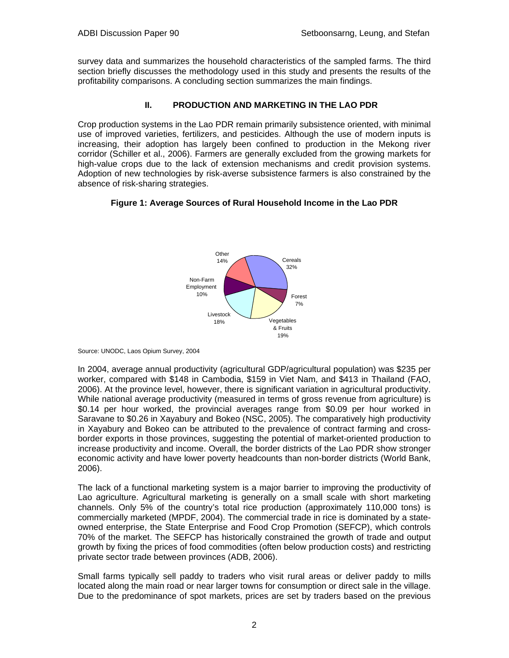survey data and summarizes the household characteristics of the sampled farms. The third section briefly discusses the methodology used in this study and presents the results of the profitability comparisons. A concluding section summarizes the main findings.

# **II. PRODUCTION AND MARKETING IN THE LAO PDR**

Crop production systems in the Lao PDR remain primarily subsistence oriented, with minimal use of improved varieties, fertilizers, and pesticides. Although the use of modern inputs is increasing, their adoption has largely been confined to production in the Mekong river corridor (Schiller et al., 2006). Farmers are generally excluded from the growing markets for high-value crops due to the lack of extension mechanisms and credit provision systems. Adoption of new technologies by risk-averse subsistence farmers is also constrained by the absence of risk-sharing strategies.

# **Figure 1: Average Sources of Rural Household Income in the Lao PDR**



Source: UNODC, Laos Opium Survey, 2004

In 2004, average annual productivity (agricultural GDP/agricultural population) was \$235 per worker, compared with \$148 in Cambodia, \$159 in Viet Nam, and \$413 in Thailand (FAO, 2006). At the province level, however, there is significant variation in agricultural productivity. While national average productivity (measured in terms of gross revenue from agriculture) is \$0.14 per hour worked, the provincial averages range from \$0.09 per hour worked in Saravane to \$0.26 in Xayabury and Bokeo (NSC, 2005). The comparatively high productivity in Xayabury and Bokeo can be attributed to the prevalence of contract farming and crossborder exports in those provinces, suggesting the potential of market-oriented production to increase productivity and income. Overall, the border districts of the Lao PDR show stronger economic activity and have lower poverty headcounts than non-border districts (World Bank, 2006).

The lack of a functional marketing system is a major barrier to improving the productivity of Lao agriculture. Agricultural marketing is generally on a small scale with short marketing channels. Only 5% of the country's total rice production (approximately 110,000 tons) is commercially marketed (MPDF, 2004). The commercial trade in rice is dominated by a stateowned enterprise, the State Enterprise and Food Crop Promotion (SEFCP), which controls 70% of the market. The SEFCP has historically constrained the growth of trade and output growth by fixing the prices of food commodities (often below production costs) and restricting private sector trade between provinces (ADB, 2006).

Small farms typically sell paddy to traders who visit rural areas or deliver paddy to mills located along the main road or near larger towns for consumption or direct sale in the village. Due to the predominance of spot markets, prices are set by traders based on the previous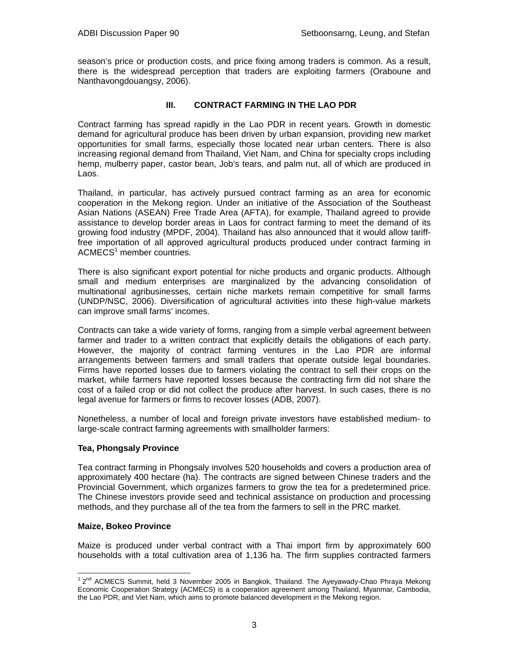season's price or production costs, and price fixing among traders is common. As a result, there is the widespread perception that traders are exploiting farmers (Oraboune and Nanthavongdouangsy, 2006).

# **III. CONTRACT FARMING IN THE LAO PDR**

Contract farming has spread rapidly in the Lao PDR in recent years. Growth in domestic demand for agricultural produce has been driven by urban expansion, providing new market opportunities for small farms, especially those located near urban centers. There is also increasing regional demand from Thailand, Viet Nam, and China for specialty crops including hemp, mulberry paper, castor bean, Job's tears, and palm nut, all of which are produced in Laos.

Thailand, in particular, has actively pursued contract farming as an area for economic cooperation in the Mekong region. Under an initiative of the Association of the Southeast Asian Nations (ASEAN) Free Trade Area (AFTA), for example, Thailand agreed to provide assistance to develop border areas in Laos for contract farming to meet the demand of its growing food industry (MPDF, 2004). Thailand has also announced that it would allow tarifffree importation of all approved agricultural products produced under contract farming in ACMECS<sup>1</sup> member countries.

There is also significant export potential for niche products and organic products. Although small and medium enterprises are marginalized by the advancing consolidation of multinational agribusinesses, certain niche markets remain competitive for small farms (UNDP/NSC, 2006). Diversification of agricultural activities into these high-value markets can improve small farms' incomes.

Contracts can take a wide variety of forms, ranging from a simple verbal agreement between farmer and trader to a written contract that explicitly details the obligations of each party. However, the majority of contract farming ventures in the Lao PDR are informal arrangements between farmers and small traders that operate outside legal boundaries. Firms have reported losses due to farmers violating the contract to sell their crops on the market, while farmers have reported losses because the contracting firm did not share the cost of a failed crop or did not collect the produce after harvest. In such cases, there is no legal avenue for farmers or firms to recover losses (ADB, 2007).

Nonetheless, a number of local and foreign private investors have established medium- to large-scale contract farming agreements with smallholder farmers:

# **Tea, Phongsaly Province**

Tea contract farming in Phongsaly involves 520 households and covers a production area of approximately 400 hectare (ha). The contracts are signed between Chinese traders and the Provincial Government, which organizes farmers to grow the tea for a predetermined price. The Chinese investors provide seed and technical assistance on production and processing methods, and they purchase all of the tea from the farmers to sell in the PRC market.

#### **Maize, Bokeo Province**

Maize is produced under verbal contract with a Thai import firm by approximately 600 households with a total cultivation area of 1,136 ha. The firm supplies contracted farmers

<sup>1 2&</sup>lt;sup>nd</sup> ACMECS Summit, held 3 November 2005 in Bangkok, Thailand. The Ayeyawady-Chao Phraya Mekong Economic Cooperation Strategy (ACMECS) is a cooperation agreement among Thailand, Myanmar, Cambodia, the Lao PDR, and Viet Nam, which aims to promote balanced development in the Mekong region.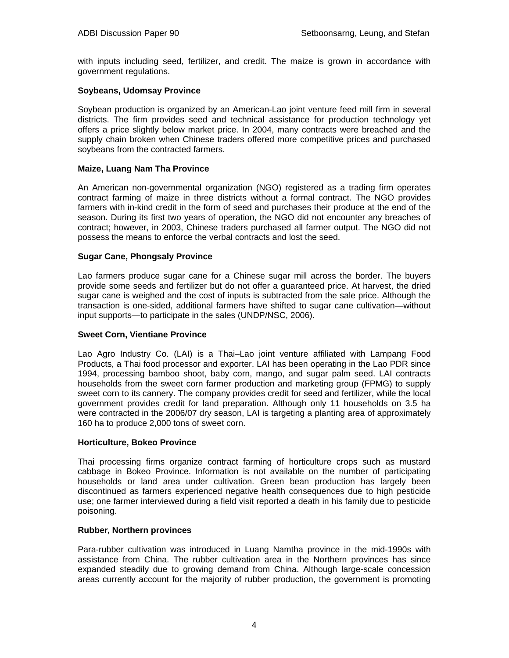with inputs including seed, fertilizer, and credit. The maize is grown in accordance with government regulations.

#### **Soybeans, Udomsay Province**

Soybean production is organized by an American-Lao joint venture feed mill firm in several districts. The firm provides seed and technical assistance for production technology yet offers a price slightly below market price. In 2004, many contracts were breached and the supply chain broken when Chinese traders offered more competitive prices and purchased soybeans from the contracted farmers.

#### **Maize, Luang Nam Tha Province**

An American non-governmental organization (NGO) registered as a trading firm operates contract farming of maize in three districts without a formal contract. The NGO provides farmers with in-kind credit in the form of seed and purchases their produce at the end of the season. During its first two years of operation, the NGO did not encounter any breaches of contract; however, in 2003, Chinese traders purchased all farmer output. The NGO did not possess the means to enforce the verbal contracts and lost the seed.

# **Sugar Cane, Phongsaly Province**

Lao farmers produce sugar cane for a Chinese sugar mill across the border. The buyers provide some seeds and fertilizer but do not offer a guaranteed price. At harvest, the dried sugar cane is weighed and the cost of inputs is subtracted from the sale price. Although the transaction is one-sided, additional farmers have shifted to sugar cane cultivation—without input supports—to participate in the sales (UNDP/NSC, 2006).

#### **Sweet Corn, Vientiane Province**

Lao Agro Industry Co. (LAI) is a Thai–Lao joint venture affiliated with Lampang Food Products, a Thai food processor and exporter. LAI has been operating in the Lao PDR since 1994, processing bamboo shoot, baby corn, mango, and sugar palm seed. LAI contracts households from the sweet corn farmer production and marketing group (FPMG) to supply sweet corn to its cannery. The company provides credit for seed and fertilizer, while the local government provides credit for land preparation. Although only 11 households on 3.5 ha were contracted in the 2006/07 dry season, LAI is targeting a planting area of approximately 160 ha to produce 2,000 tons of sweet corn.

#### **Horticulture, Bokeo Province**

Thai processing firms organize contract farming of horticulture crops such as mustard cabbage in Bokeo Province. Information is not available on the number of participating households or land area under cultivation. Green bean production has largely been discontinued as farmers experienced negative health consequences due to high pesticide use; one farmer interviewed during a field visit reported a death in his family due to pesticide poisoning.

#### **Rubber, Northern provinces**

Para-rubber cultivation was introduced in Luang Namtha province in the mid-1990s with assistance from China. The rubber cultivation area in the Northern provinces has since expanded steadily due to growing demand from China. Although large-scale concession areas currently account for the majority of rubber production, the government is promoting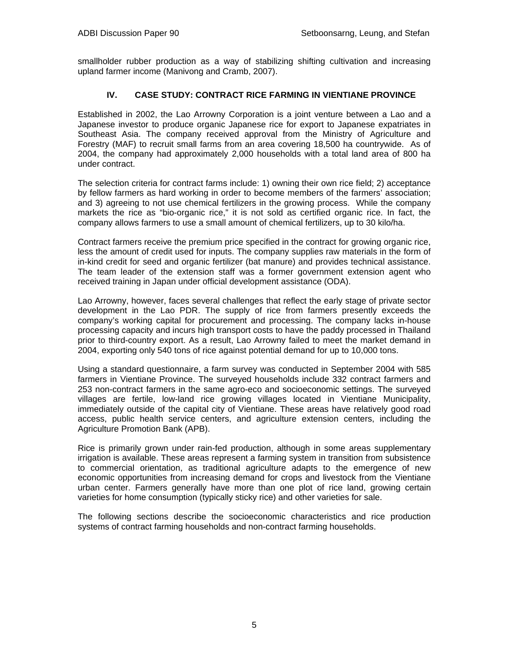smallholder rubber production as a way of stabilizing shifting cultivation and increasing upland farmer income (Manivong and Cramb, 2007).

# **IV. CASE STUDY: CONTRACT RICE FARMING IN VIENTIANE PROVINCE**

Established in 2002, the Lao Arrowny Corporation is a joint venture between a Lao and a Japanese investor to produce organic Japanese rice for export to Japanese expatriates in Southeast Asia. The company received approval from the Ministry of Agriculture and Forestry (MAF) to recruit small farms from an area covering 18,500 ha countrywide. As of 2004, the company had approximately 2,000 households with a total land area of 800 ha under contract.

The selection criteria for contract farms include: 1) owning their own rice field; 2) acceptance by fellow farmers as hard working in order to become members of the farmers' association; and 3) agreeing to not use chemical fertilizers in the growing process. While the company markets the rice as "bio-organic rice," it is not sold as certified organic rice. In fact, the company allows farmers to use a small amount of chemical fertilizers, up to 30 kilo/ha.

Contract farmers receive the premium price specified in the contract for growing organic rice, less the amount of credit used for inputs. The company supplies raw materials in the form of in-kind credit for seed and organic fertilizer (bat manure) and provides technical assistance. The team leader of the extension staff was a former government extension agent who received training in Japan under official development assistance (ODA).

Lao Arrowny, however, faces several challenges that reflect the early stage of private sector development in the Lao PDR. The supply of rice from farmers presently exceeds the company's working capital for procurement and processing. The company lacks in-house processing capacity and incurs high transport costs to have the paddy processed in Thailand prior to third-country export. As a result, Lao Arrowny failed to meet the market demand in 2004, exporting only 540 tons of rice against potential demand for up to 10,000 tons.

Using a standard questionnaire, a farm survey was conducted in September 2004 with 585 farmers in Vientiane Province. The surveyed households include 332 contract farmers and 253 non-contract farmers in the same agro-eco and socioeconomic settings. The surveyed villages are fertile, low-land rice growing villages located in Vientiane Municipality, immediately outside of the capital city of Vientiane. These areas have relatively good road access, public health service centers, and agriculture extension centers, including the Agriculture Promotion Bank (APB).

Rice is primarily grown under rain-fed production, although in some areas supplementary irrigation is available. These areas represent a farming system in transition from subsistence to commercial orientation, as traditional agriculture adapts to the emergence of new economic opportunities from increasing demand for crops and livestock from the Vientiane urban center. Farmers generally have more than one plot of rice land, growing certain varieties for home consumption (typically sticky rice) and other varieties for sale.

The following sections describe the socioeconomic characteristics and rice production systems of contract farming households and non-contract farming households.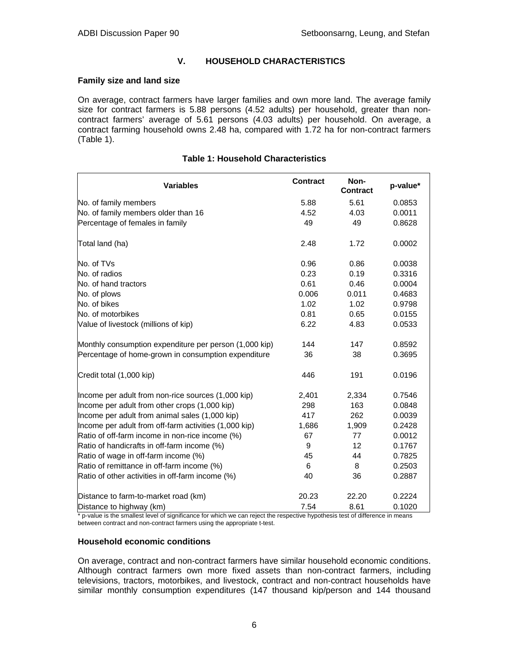# **V. HOUSEHOLD CHARACTERISTICS**

#### **Family size and land size**

On average, contract farmers have larger families and own more land. The average family size for contract farmers is 5.88 persons (4.52 adults) per household, greater than noncontract farmers' average of 5.61 persons (4.03 adults) per household. On average, a contract farming household owns 2.48 ha, compared with 1.72 ha for non-contract farmers (Table 1).

| <b>Variables</b>                                       | <b>Contract</b> | Non-<br><b>Contract</b> | p-value* |
|--------------------------------------------------------|-----------------|-------------------------|----------|
| No. of family members                                  | 5.88            | 5.61                    | 0.0853   |
| No. of family members older than 16                    | 4.52            | 4.03                    | 0.0011   |
| Percentage of females in family                        | 49              | 49                      | 0.8628   |
| Total land (ha)                                        | 2.48            | 1.72                    | 0.0002   |
| No. of TVs                                             | 0.96            | 0.86                    | 0.0038   |
| No. of radios                                          | 0.23            | 0.19                    | 0.3316   |
| No. of hand tractors                                   | 0.61            | 0.46                    | 0.0004   |
| No. of plows                                           | 0.006           | 0.011                   | 0.4683   |
| No. of bikes                                           | 1.02            | 1.02                    | 0.9798   |
| No. of motorbikes                                      | 0.81            | 0.65                    | 0.0155   |
| Value of livestock (millions of kip)                   | 6.22            | 4.83                    | 0.0533   |
| Monthly consumption expenditure per person (1,000 kip) | 144             | 147                     | 0.8592   |
| Percentage of home-grown in consumption expenditure    | 36              | 38                      | 0.3695   |
| Credit total (1,000 kip)                               | 446             | 191                     | 0.0196   |
| Income per adult from non-rice sources (1,000 kip)     | 2,401           | 2,334                   | 0.7546   |
| Income per adult from other crops (1,000 kip)          | 298             | 163                     | 0.0848   |
| Income per adult from animal sales (1,000 kip)         | 417             | 262                     | 0.0039   |
| Income per adult from off-farm activities (1,000 kip)  | 1,686           | 1,909                   | 0.2428   |
| Ratio of off-farm income in non-rice income (%)        | 67              | 77                      | 0.0012   |
| Ratio of handicrafts in off-farm income (%)            | 9               | 12                      | 0.1767   |
| Ratio of wage in off-farm income (%)                   | 45              | 44                      | 0.7825   |
| Ratio of remittance in off-farm income (%)             | 6               | 8                       | 0.2503   |
| Ratio of other activities in off-farm income (%)       | 40              | 36                      | 0.2887   |
| Distance to farm-to-market road (km)                   | 20.23           | 22.20                   | 0.2224   |
| Distance to highway (km)                               | 7.54            | 8.61                    | 0.1020   |

#### **Table 1: Household Characteristics**

\* p-value is the smallest level of significance for which we can reject the respective hypothesis test of difference in means between contract and non-contract farmers using the appropriate t-test.

#### **Household economic conditions**

On average, contract and non-contract farmers have similar household economic conditions. Although contract farmers own more fixed assets than non-contract farmers, including televisions, tractors, motorbikes, and livestock, contract and non-contract households have similar monthly consumption expenditures (147 thousand kip/person and 144 thousand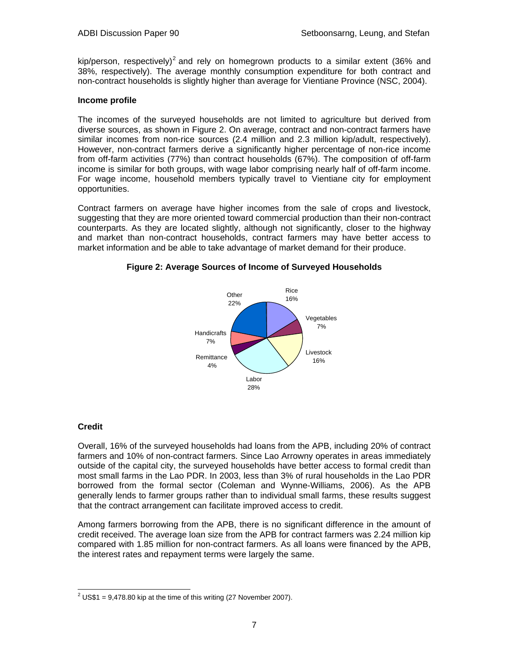kip/person, respectively)<sup>2</sup> and rely on homegrown products to a similar extent (36% and 38%, respectively). The average monthly consumption expenditure for both contract and non-contract households is slightly higher than average for Vientiane Province (NSC, 2004).

#### **Income profile**

The incomes of the surveyed households are not limited to agriculture but derived from diverse sources, as shown in Figure 2. On average, contract and non-contract farmers have similar incomes from non-rice sources (2.4 million and 2.3 million kip/adult, respectively). However, non-contract farmers derive a significantly higher percentage of non-rice income from off-farm activities (77%) than contract households (67%). The composition of off-farm income is similar for both groups, with wage labor comprising nearly half of off-farm income. For wage income, household members typically travel to Vientiane city for employment opportunities.

Contract farmers on average have higher incomes from the sale of crops and livestock, suggesting that they are more oriented toward commercial production than their non-contract counterparts. As they are located slightly, although not significantly, closer to the highway and market than non-contract households, contract farmers may have better access to market information and be able to take advantage of market demand for their produce.



# **Figure 2: Average Sources of Income of Surveyed Households**

# **Credit**

Overall, 16% of the surveyed households had loans from the APB, including 20% of contract farmers and 10% of non-contract farmers. Since Lao Arrowny operates in areas immediately outside of the capital city, the surveyed households have better access to formal credit than most small farms in the Lao PDR. In 2003, less than 3% of rural households in the Lao PDR borrowed from the formal sector (Coleman and Wynne-Williams, 2006). As the APB generally lends to farmer groups rather than to individual small farms, these results suggest that the contract arrangement can facilitate improved access to credit.

Among farmers borrowing from the APB, there is no significant difference in the amount of credit received. The average loan size from the APB for contract farmers was 2.24 million kip compared with 1.85 million for non-contract farmers. As all loans were financed by the APB, the interest rates and repayment terms were largely the same.

 $\overline{a}$  $2^2$  US\$1 = 9,478.80 kip at the time of this writing (27 November 2007).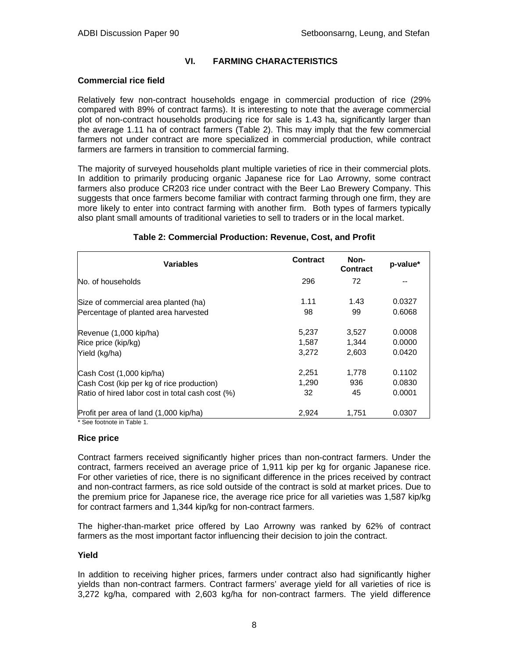# **VI. FARMING CHARACTERISTICS**

#### **Commercial rice field**

Relatively few non-contract households engage in commercial production of rice (29% compared with 89% of contract farms). It is interesting to note that the average commercial plot of non-contract households producing rice for sale is 1.43 ha, significantly larger than the average 1.11 ha of contract farmers (Table 2). This may imply that the few commercial farmers not under contract are more specialized in commercial production, while contract farmers are farmers in transition to commercial farming.

The majority of surveyed households plant multiple varieties of rice in their commercial plots. In addition to primarily producing organic Japanese rice for Lao Arrowny, some contract farmers also produce CR203 rice under contract with the Beer Lao Brewery Company. This suggests that once farmers become familiar with contract farming through one firm, they are more likely to enter into contract farming with another firm. Both types of farmers typically also plant small amounts of traditional varieties to sell to traders or in the local market.

| Contract | Non-<br>Contract | p-value* |
|----------|------------------|----------|
| 296      | 72               |          |
| 1.11     | 1.43             | 0.0327   |
| 98       | 99               | 0.6068   |
| 5,237    | 3,527            | 0.0008   |
| 1,587    | 1,344            | 0.0000   |
| 3,272    | 2,603            | 0.0420   |
| 2,251    | 1,778            | 0.1102   |
| 1.290    | 936              | 0.0830   |
| 32       | 45               | 0.0001   |
| 2,924    | 1.751            | 0.0307   |
|          |                  |          |

## **Table 2: Commercial Production: Revenue, Cost, and Profit**

#### **Rice price**

Contract farmers received significantly higher prices than non-contract farmers. Under the contract, farmers received an average price of 1,911 kip per kg for organic Japanese rice. For other varieties of rice, there is no significant difference in the prices received by contract and non-contract farmers, as rice sold outside of the contract is sold at market prices. Due to the premium price for Japanese rice, the average rice price for all varieties was 1,587 kip/kg for contract farmers and 1,344 kip/kg for non-contract farmers.

The higher-than-market price offered by Lao Arrowny was ranked by 62% of contract farmers as the most important factor influencing their decision to join the contract.

#### **Yield**

In addition to receiving higher prices, farmers under contract also had significantly higher yields than non-contract farmers. Contract farmers' average yield for all varieties of rice is 3,272 kg/ha, compared with 2,603 kg/ha for non-contract farmers. The yield difference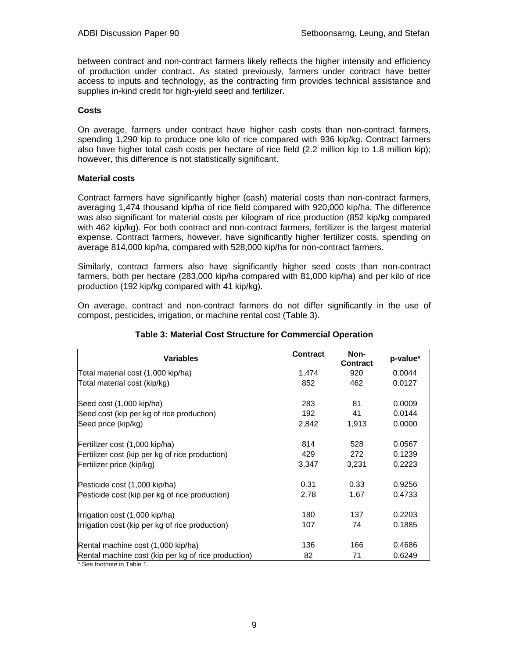between contract and non-contract farmers likely reflects the higher intensity and efficiency of production under contract. As stated previously, farmers under contract have better access to inputs and technology, as the contracting firm provides technical assistance and supplies in-kind credit for high-yield seed and fertilizer.

#### **Costs**

On average, farmers under contract have higher cash costs than non-contract farmers, spending 1,290 kip to produce one kilo of rice compared with 936 kip/kg. Contract farmers also have higher total cash costs per hectare of rice field (2.2 million kip to 1.8 million kip); however, this difference is not statistically significant.

#### **Material costs**

Contract farmers have significantly higher (cash) material costs than non-contract farmers, averaging 1,474 thousand kip/ha of rice field compared with 920,000 kip/ha. The difference was also significant for material costs per kilogram of rice production (852 kip/kg compared with 462 kip/kg). For both contract and non-contract farmers, fertilizer is the largest material expense. Contract farmers, however, have significantly higher fertilizer costs, spending on average 814,000 kip/ha, compared with 528,000 kip/ha for non-contract farmers.

Similarly, contract farmers also have significantly higher seed costs than non-contract farmers, both per hectare (283,000 kip/ha compared with 81,000 kip/ha) and per kilo of rice production (192 kip/kg compared with 41 kip/kg).

On average, contract and non-contract farmers do not differ significantly in the use of compost, pesticides, irrigation, or machine rental cost (Table 3).

| <b>Variables</b>                                    | <b>Contract</b> | Non-<br><b>Contract</b> | p-value* |
|-----------------------------------------------------|-----------------|-------------------------|----------|
| Total material cost (1,000 kip/ha)                  | 1,474           | 920                     | 0.0044   |
| Total material cost (kip/kg)                        | 852             | 462                     | 0.0127   |
| Seed cost (1,000 kip/ha)                            | 283             | 81                      | 0.0009   |
| Seed cost (kip per kg of rice production)           | 192             | 41                      | 0.0144   |
| Seed price (kip/kg)                                 | 2,842           | 1,913                   | 0.0000   |
| Fertilizer cost (1,000 kip/ha)                      | 814             | 528                     | 0.0567   |
| Fertilizer cost (kip per kg of rice production)     | 429             | 272                     | 0.1239   |
| Fertilizer price (kip/kg)                           | 3,347           | 3,231                   | 0.2223   |
| Pesticide cost (1,000 kip/ha)                       | 0.31            | 0.33                    | 0.9256   |
| Pesticide cost (kip per kg of rice production)      | 2.78            | 1.67                    | 0.4733   |
| Irrigation cost (1,000 kip/ha)                      | 180             | 137                     | 0.2203   |
| Irrigation cost (kip per kg of rice production)     | 107             | 74                      | 0.1885   |
| Rental machine cost (1,000 kip/ha)                  | 136             | 166                     | 0.4686   |
| Rental machine cost (kip per kg of rice production) | 82              | 71                      | 0.6249   |
| * See footnote in Table 1.                          |                 |                         |          |

# **Table 3: Material Cost Structure for Commercial Operation**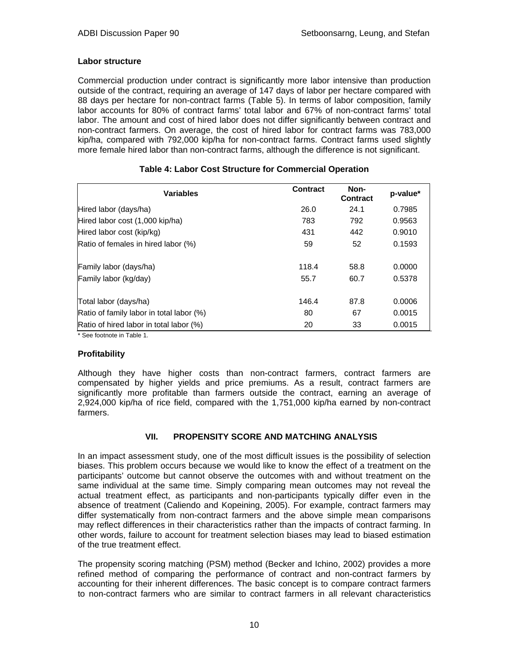#### **Labor structure**

Commercial production under contract is significantly more labor intensive than production outside of the contract, requiring an average of 147 days of labor per hectare compared with 88 days per hectare for non-contract farms (Table 5). In terms of labor composition, family labor accounts for 80% of contract farms' total labor and 67% of non-contract farms' total labor. The amount and cost of hired labor does not differ significantly between contract and non-contract farmers. On average, the cost of hired labor for contract farms was 783,000 kip/ha, compared with 792,000 kip/ha for non-contract farms. Contract farms used slightly more female hired labor than non-contract farms, although the difference is not significant.

| <b>Variables</b>                         | Contract | Non-<br>Contract | p-value* |
|------------------------------------------|----------|------------------|----------|
| Hired labor (days/ha)                    | 26.0     | 24.1             | 0.7985   |
| Hired labor cost (1,000 kip/ha)          | 783      | 792              | 0.9563   |
| Hired labor cost (kip/kg)                | 431      | 442              | 0.9010   |
| Ratio of females in hired labor (%)      | 59       | 52               | 0.1593   |
| Family labor (days/ha)                   | 118.4    | 58.8             | 0.0000   |
| Family labor (kg/day)                    | 55.7     | 60.7             | 0.5378   |
| Total labor (days/ha)                    | 146.4    | 87.8             | 0.0006   |
| Ratio of family labor in total labor (%) | 80       | 67               | 0.0015   |
| Ratio of hired labor in total labor (%)  | 20       | 33               | 0.0015   |

# **Table 4: Labor Cost Structure for Commercial Operation**

\* See footnote in Table 1.

# **Profitability**

Although they have higher costs than non-contract farmers, contract farmers are compensated by higher yields and price premiums. As a result, contract farmers are significantly more profitable than farmers outside the contract, earning an average of 2,924,000 kip/ha of rice field, compared with the 1,751,000 kip/ha earned by non-contract farmers.

# **VII. PROPENSITY SCORE AND MATCHING ANALYSIS**

In an impact assessment study, one of the most difficult issues is the possibility of selection biases. This problem occurs because we would like to know the effect of a treatment on the participants' outcome but cannot observe the outcomes with and without treatment on the same individual at the same time. Simply comparing mean outcomes may not reveal the actual treatment effect, as participants and non-participants typically differ even in the absence of treatment (Caliendo and Kopeining, 2005). For example, contract farmers may differ systematically from non-contract farmers and the above simple mean comparisons may reflect differences in their characteristics rather than the impacts of contract farming. In other words, failure to account for treatment selection biases may lead to biased estimation of the true treatment effect.

The propensity scoring matching (PSM) method (Becker and Ichino, 2002) provides a more refined method of comparing the performance of contract and non-contract farmers by accounting for their inherent differences. The basic concept is to compare contract farmers to non-contract farmers who are similar to contract farmers in all relevant characteristics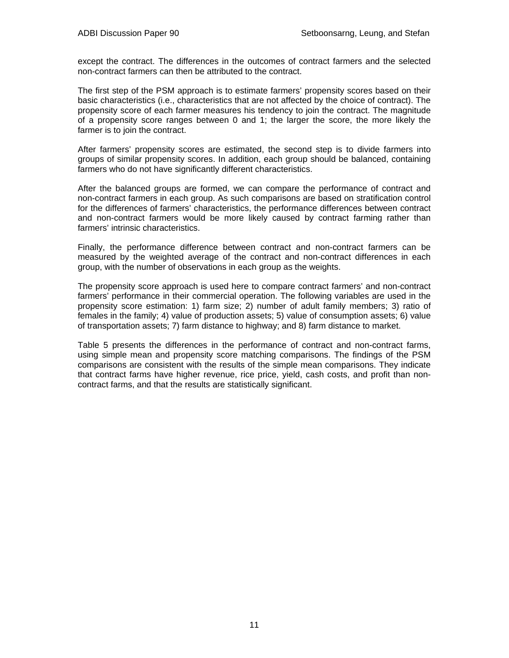except the contract. The differences in the outcomes of contract farmers and the selected non-contract farmers can then be attributed to the contract.

The first step of the PSM approach is to estimate farmers' propensity scores based on their basic characteristics (i.e., characteristics that are not affected by the choice of contract). The propensity score of each farmer measures his tendency to join the contract. The magnitude of a propensity score ranges between 0 and 1; the larger the score, the more likely the farmer is to join the contract.

After farmers' propensity scores are estimated, the second step is to divide farmers into groups of similar propensity scores. In addition, each group should be balanced, containing farmers who do not have significantly different characteristics.

After the balanced groups are formed, we can compare the performance of contract and non-contract farmers in each group. As such comparisons are based on stratification control for the differences of farmers' characteristics, the performance differences between contract and non-contract farmers would be more likely caused by contract farming rather than farmers' intrinsic characteristics.

Finally, the performance difference between contract and non-contract farmers can be measured by the weighted average of the contract and non-contract differences in each group, with the number of observations in each group as the weights.

The propensity score approach is used here to compare contract farmers' and non-contract farmers' performance in their commercial operation. The following variables are used in the propensity score estimation: 1) farm size; 2) number of adult family members; 3) ratio of females in the family; 4) value of production assets; 5) value of consumption assets; 6) value of transportation assets; 7) farm distance to highway; and 8) farm distance to market.

Table 5 presents the differences in the performance of contract and non-contract farms, using simple mean and propensity score matching comparisons. The findings of the PSM comparisons are consistent with the results of the simple mean comparisons. They indicate that contract farms have higher revenue, rice price, yield, cash costs, and profit than noncontract farms, and that the results are statistically significant.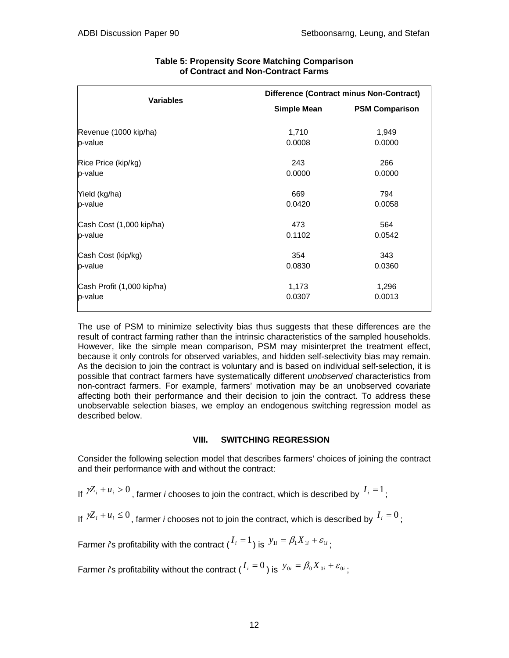| <b>Variables</b>           | <b>Difference (Contract minus Non-Contract)</b> |                       |  |  |
|----------------------------|-------------------------------------------------|-----------------------|--|--|
|                            | <b>Simple Mean</b>                              | <b>PSM Comparison</b> |  |  |
| Revenue (1000 kip/ha)      | 1,710                                           | 1,949                 |  |  |
| p-value                    | 0.0008                                          | 0.0000                |  |  |
| Rice Price (kip/kg)        | 243                                             | 266                   |  |  |
| p-value                    | 0.0000                                          | 0.0000                |  |  |
| Yield (kg/ha)              | 669                                             | 794                   |  |  |
| p-value                    | 0.0420                                          | 0.0058                |  |  |
| Cash Cost (1,000 kip/ha)   | 473                                             | 564                   |  |  |
| p-value                    | 0.1102                                          | 0.0542                |  |  |
| Cash Cost (kip/kg)         | 354                                             | 343                   |  |  |
| p-value                    | 0.0830                                          | 0.0360                |  |  |
| Cash Profit (1,000 kip/ha) | 1,173                                           | 1,296                 |  |  |
| p-value                    | 0.0307                                          | 0.0013                |  |  |

# **Table 5: Propensity Score Matching Comparison of Contract and Non-Contract Farms**

The use of PSM to minimize selectivity bias thus suggests that these differences are the result of contract farming rather than the intrinsic characteristics of the sampled households. However, like the simple mean comparison, PSM may misinterpret the treatment effect, because it only controls for observed variables, and hidden self-selectivity bias may remain. As the decision to join the contract is voluntary and is based on individual self-selection, it is possible that contract farmers have systematically different *unobserved* characteristics from non-contract farmers. For example, farmers' motivation may be an unobserved covariate affecting both their performance and their decision to join the contract. To address these unobservable selection biases, we employ an endogenous switching regression model as described below.

# **VIII. SWITCHING REGRESSION**

Consider the following selection model that describes farmers' choices of joining the contract and their performance with and without the contract:

If  ${}^{\iota}\mathbb{Z}_i + u_i > 0$ , farmer *i* chooses to join the contract, which is described by  $I_i = 1$ ;

If  $\mathcal{V}Z_i + u_i \leq 0$ , farmer *i* chooses not to join the contract, which is described by  $I_i = 0$ ;

Farmer *i*'s profitability with the contract  $(I_i = 1)$  is  $y_{1i} = \beta_1 X_{1i} + \varepsilon_{1i}$ ;

Farmer *i*'s profitability without the contract  $(I_i = 0)$  is  $y_{0i} = \beta_0 X_{0i} + \varepsilon_{0i}$ ;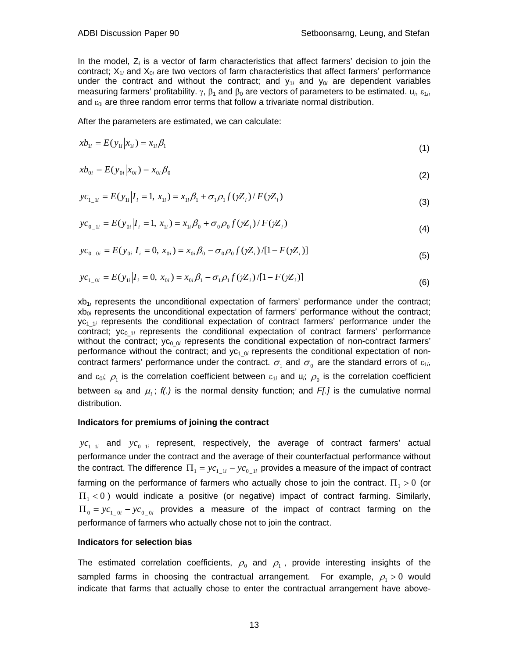In the model, Z*i* is a vector of farm characteristics that affect farmers' decision to join the contract; X<sub>1i</sub> and X<sub>0i</sub> are two vectors of farm characteristics that affect farmers' performance under the contract and without the contract; and  $y_{1i}$  and  $y_{0i}$  are dependent variables measuring farmers' profitability.  $\gamma$ ,  $\beta_1$  and  $\beta_0$  are vectors of parameters to be estimated.  $u_i$ ,  $\varepsilon_{1i}$ , and  $\varepsilon_{0i}$  are three random error terms that follow a trivariate normal distribution.

After the parameters are estimated, we can calculate:

$$
xb_{1i} = E(y_{1i}|x_{1i}) = x_{1i}\beta_1
$$
\n(1)

$$
xb_{0i} = E(y_{0i}|x_{0i}) = x_{0i}\beta_0
$$
\n(2)

$$
yc_{1\_1i} = E(y_{1i}|I_i = 1, x_{1i}) = x_{1i}\beta_1 + \sigma_1\rho_1 f(\gamma Z_i) / F(\gamma Z_i)
$$
\n(3)

$$
yc_{0\_1i} = E(y_{0i} | I_i = 1, x_{1i}) = x_{1i}\beta_0 + \sigma_0 \rho_0 f(\gamma Z_i) / F(\gamma Z_i)
$$
\n(4)

$$
yc_{0\_0i} = E(y_{0i}|I_i = 0, x_{0i}) = x_{0i}\beta_0 - \sigma_0\rho_0 f(\gamma Z_i)/[1 - F(\gamma Z_i)]
$$
\n(5)

$$
yc_{1\_0i} = E(y_{1i} | I_i = 0, x_{0i}) = x_{0i}\beta_1 - \sigma_1\rho_1 f(\gamma Z_i) / [1 - F(\gamma Z_i)]
$$
\n(6)

xb<sub>1</sub>*i* represents the unconditional expectation of farmers' performance under the contract; xb<sub>0i</sub> represents the unconditional expectation of farmers' performance without the contract; yc<sub>1 1i</sub> represents the conditional expectation of contract farmers' performance under the contract; yc<sub>0-1*i*</sub> represents the conditional expectation of contract farmers' performance without the contract; yc<sub>0\_0*i*</sub> represents the conditional expectation of non-contract farmers' performance without the contract; and yc<sub>1\_0i</sub> represents the conditional expectation of noncontract farmers' performance under the contract.  $\sigma_1$  and  $\sigma_0$  are the standard errors of  $\varepsilon_{1i}$ , and  $\varepsilon_{0i}$ ,  $\rho_1$  is the correlation coefficient between  $\varepsilon_{1i}$  and  $u_i$ ,  $\rho_0$  is the correlation coefficient between  $\varepsilon_{0i}$  and  $\mu_i$ ;  $f(.)$  is the normal density function; and F[.] is the cumulative normal distribution.

#### **Indicators for premiums of joining the contract**

 $yc_{1-1i}$  and  $yc_{0-1i}$  represent, respectively, the average of contract farmers' actual performance under the contract and the average of their counterfactual performance without the contract. The difference  $\Pi_1 = yc_{1-i} - yc_{0-i}$  provides a measure of the impact of contract farming on the performance of farmers who actually chose to join the contract.  $\Pi_1 > 0$  (or  $\Pi_1$  < 0) would indicate a positive (or negative) impact of contract farming. Similarly,  $\Pi_0 = yc_1$   $\delta i - yc_0$  *i* provides a measure of the impact of contract farming on the performance of farmers who actually chose not to join the contract.

#### **Indicators for selection bias**

The estimated correlation coefficients,  $\rho_0$  and  $\rho_1$ , provide interesting insights of the sampled farms in choosing the contractual arrangement. For example,  $\rho_1 > 0$  would indicate that farms that actually chose to enter the contractual arrangement have above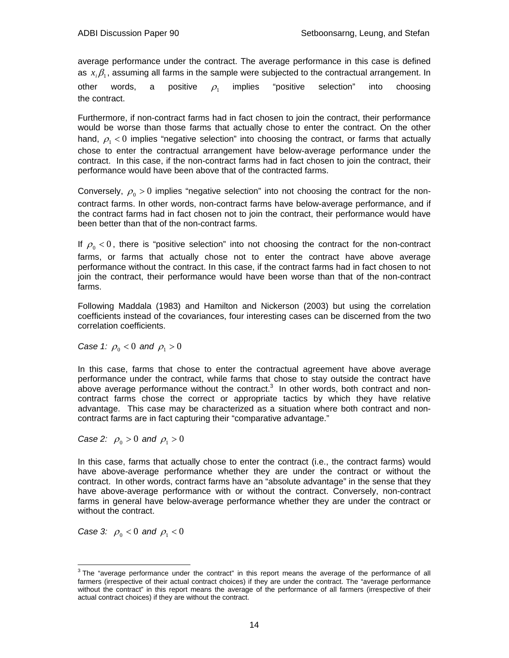average performance under the contract. The average performance in this case is defined as  $x_i\beta_1$ , assuming all farms in the sample were subjected to the contractual arrangement. In other words, a positive  $\rho_{\text{\tiny{1}}}$  implies "positive selection" into choosing the contract.

Furthermore, if non-contract farms had in fact chosen to join the contract, their performance would be worse than those farms that actually chose to enter the contract. On the other hand,  $\rho_1 < 0$  implies "negative selection" into choosing the contract, or farms that actually chose to enter the contractual arrangement have below-average performance under the contract. In this case, if the non-contract farms had in fact chosen to join the contract, their performance would have been above that of the contracted farms.

Conversely,  $\rho_0 > 0$  implies "negative selection" into not choosing the contract for the noncontract farms. In other words, non-contract farms have below-average performance, and if the contract farms had in fact chosen not to join the contract, their performance would have been better than that of the non-contract farms.

If  $\rho_0 < 0$ , there is "positive selection" into not choosing the contract for the non-contract farms, or farms that actually chose not to enter the contract have above average performance without the contract. In this case, if the contract farms had in fact chosen to not join the contract, their performance would have been worse than that of the non-contract farms.

Following Maddala (1983) and Hamilton and Nickerson (2003) but using the correlation coefficients instead of the covariances, four interesting cases can be discerned from the two correlation coefficients.

*Case 1:*  $\rho_0 < 0$  *and*  $\rho_1 > 0$ 

In this case, farms that chose to enter the contractual agreement have above average performance under the contract, while farms that chose to stay outside the contract have above average performance without the contract. $3$  In other words, both contract and noncontract farms chose the correct or appropriate tactics by which they have relative advantage. This case may be characterized as a situation where both contract and noncontract farms are in fact capturing their "comparative advantage."

*Case 2:*  $\rho_0 > 0$  *and*  $\rho_1 > 0$ 

In this case, farms that actually chose to enter the contract (i.e., the contract farms) would have above-average performance whether they are under the contract or without the contract. In other words, contract farms have an "absolute advantage" in the sense that they have above-average performance with or without the contract. Conversely, non-contract farms in general have below-average performance whether they are under the contract or without the contract.

*Case 3:*  $\rho_0 < 0$  *and*  $\rho_1 < 0$ 

<sup>&</sup>lt;sup>3</sup>The "average performance under the contract" in this report means the average of the performance of all farmers (irrespective of their actual contract choices) if they are under the contract. The "average performance without the contract" in this report means the average of the performance of all farmers (irrespective of their actual contract choices) if they are without the contract.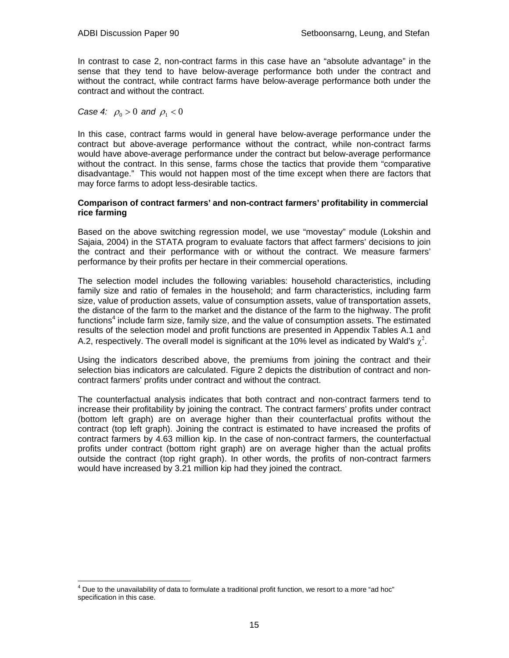In contrast to case 2, non-contract farms in this case have an "absolute advantage" in the sense that they tend to have below-average performance both under the contract and without the contract, while contract farms have below-average performance both under the contract and without the contract.

*Case 4:*  $\rho_0 > 0$  *and*  $\rho_1 < 0$ 

In this case, contract farms would in general have below-average performance under the contract but above-average performance without the contract, while non-contract farms would have above-average performance under the contract but below-average performance without the contract. In this sense, farms chose the tactics that provide them "comparative disadvantage." This would not happen most of the time except when there are factors that may force farms to adopt less-desirable tactics.

#### **Comparison of contract farmers' and non-contract farmers' profitability in commercial rice farming**

Based on the above switching regression model, we use "movestay" module (Lokshin and Sajaia, 2004) in the STATA program to evaluate factors that affect farmers' decisions to join the contract and their performance with or without the contract. We measure farmers' performance by their profits per hectare in their commercial operations.

The selection model includes the following variables: household characteristics, including family size and ratio of females in the household; and farm characteristics, including farm size, value of production assets, value of consumption assets, value of transportation assets, the distance of the farm to the market and the distance of the farm to the highway. The profit functions<sup>4</sup> include farm size, family size, and the value of consumption assets. The estimated results of the selection model and profit functions are presented in Appendix Tables A.1 and A.2, respectively. The overall model is significant at the 10% level as indicated by Wald's  $\chi^2$ .

Using the indicators described above, the premiums from joining the contract and their selection bias indicators are calculated. Figure 2 depicts the distribution of contract and noncontract farmers' profits under contract and without the contract.

The counterfactual analysis indicates that both contract and non-contract farmers tend to increase their profitability by joining the contract. The contract farmers' profits under contract (bottom left graph) are on average higher than their counterfactual profits without the contract (top left graph). Joining the contract is estimated to have increased the profits of contract farmers by 4.63 million kip. In the case of non-contract farmers, the counterfactual profits under contract (bottom right graph) are on average higher than the actual profits outside the contract (top right graph). In other words, the profits of non-contract farmers would have increased by 3.21 million kip had they joined the contract.

 $\overline{a}$ <sup>4</sup> Due to the unavailability of data to formulate a traditional profit function, we resort to a more "ad hoc" specification in this case.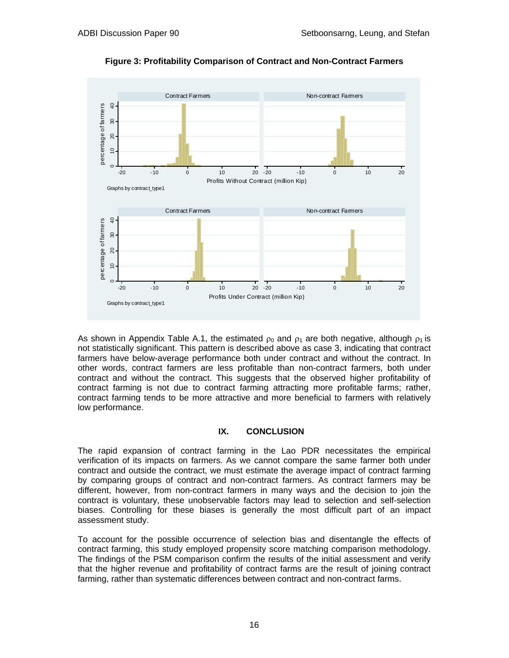

**Figure 3: Profitability Comparison of Contract and Non-Contract Farmers** 

As shown in Appendix Table A.1, the estimated  $\rho_0$  and  $\rho_1$  are both negative, although  $\rho_1$  is not statistically significant. This pattern is described above as case 3, indicating that contract farmers have below-average performance both under contract and without the contract. In other words, contract farmers are less profitable than non-contract farmers, both under contract and without the contract. This suggests that the observed higher profitability of contract farming is not due to contract farming attracting more profitable farms; rather, contract farming tends to be more attractive and more beneficial to farmers with relatively low performance.

# **IX. CONCLUSION**

The rapid expansion of contract farming in the Lao PDR necessitates the empirical verification of its impacts on farmers. As we cannot compare the same farmer both under contract and outside the contract, we must estimate the average impact of contract farming by comparing groups of contract and non-contract farmers. As contract farmers may be different, however, from non-contract farmers in many ways and the decision to join the contract is voluntary, these unobservable factors may lead to selection and self-selection biases. Controlling for these biases is generally the most difficult part of an impact assessment study.

To account for the possible occurrence of selection bias and disentangle the effects of contract farming, this study employed propensity score matching comparison methodology. The findings of the PSM comparison confirm the results of the initial assessment and verify that the higher revenue and profitability of contract farms are the result of joining contract farming, rather than systematic differences between contract and non-contract farms.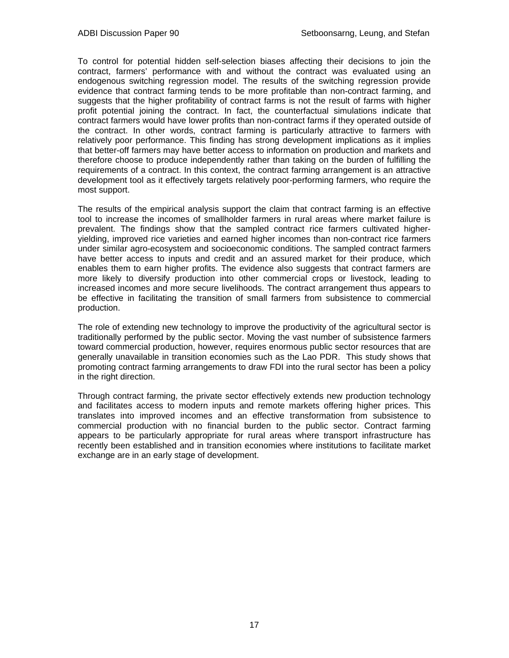To control for potential hidden self-selection biases affecting their decisions to join the contract, farmers' performance with and without the contract was evaluated using an endogenous switching regression model. The results of the switching regression provide evidence that contract farming tends to be more profitable than non-contract farming, and suggests that the higher profitability of contract farms is not the result of farms with higher profit potential joining the contract. In fact, the counterfactual simulations indicate that contract farmers would have lower profits than non-contract farms if they operated outside of the contract. In other words, contract farming is particularly attractive to farmers with relatively poor performance. This finding has strong development implications as it implies that better-off farmers may have better access to information on production and markets and therefore choose to produce independently rather than taking on the burden of fulfilling the requirements of a contract. In this context, the contract farming arrangement is an attractive development tool as it effectively targets relatively poor-performing farmers, who require the most support.

The results of the empirical analysis support the claim that contract farming is an effective tool to increase the incomes of smallholder farmers in rural areas where market failure is prevalent. The findings show that the sampled contract rice farmers cultivated higheryielding, improved rice varieties and earned higher incomes than non-contract rice farmers under similar agro-ecosystem and socioeconomic conditions. The sampled contract farmers have better access to inputs and credit and an assured market for their produce, which enables them to earn higher profits. The evidence also suggests that contract farmers are more likely to diversify production into other commercial crops or livestock, leading to increased incomes and more secure livelihoods. The contract arrangement thus appears to be effective in facilitating the transition of small farmers from subsistence to commercial production.

The role of extending new technology to improve the productivity of the agricultural sector is traditionally performed by the public sector. Moving the vast number of subsistence farmers toward commercial production, however, requires enormous public sector resources that are generally unavailable in transition economies such as the Lao PDR. This study shows that promoting contract farming arrangements to draw FDI into the rural sector has been a policy in the right direction.

Through contract farming, the private sector effectively extends new production technology and facilitates access to modern inputs and remote markets offering higher prices. This translates into improved incomes and an effective transformation from subsistence to commercial production with no financial burden to the public sector. Contract farming appears to be particularly appropriate for rural areas where transport infrastructure has recently been established and in transition economies where institutions to facilitate market exchange are in an early stage of development.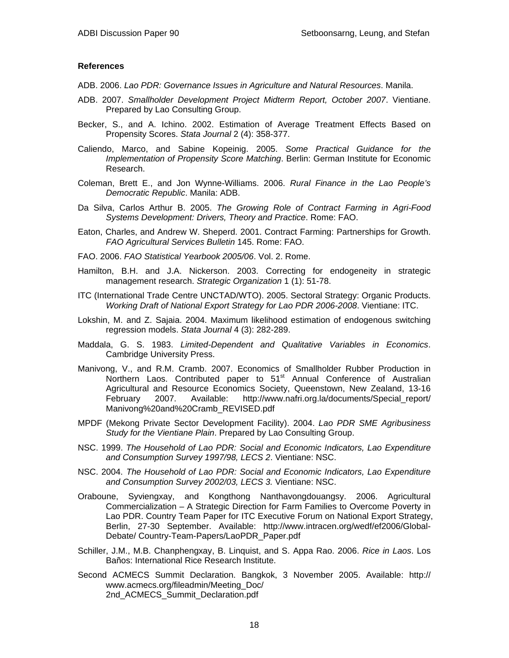#### **References**

- ADB. 2006. *Lao PDR: Governance Issues in Agriculture and Natural Resources*. Manila.
- ADB. 2007. *Smallholder Development Project Midterm Report, October 2007*. Vientiane. Prepared by Lao Consulting Group.
- Becker, S., and A. Ichino. 2002. Estimation of Average Treatment Effects Based on Propensity Scores. *Stata Journal* 2 (4): 358-377.
- Caliendo, Marco, and Sabine Kopeinig. 2005. *Some Practical Guidance for the Implementation of Propensity Score Matching*. Berlin: German Institute for Economic Research.
- Coleman, Brett E., and Jon Wynne-Williams. 2006. *Rural Finance in the Lao People's Democratic Republic*. Manila: ADB.
- Da Silva, Carlos Arthur B. 2005. *The Growing Role of Contract Farming in Agri-Food Systems Development: Drivers, Theory and Practice*. Rome: FAO.
- Eaton, Charles, and Andrew W. Sheperd. 2001. Contract Farming: Partnerships for Growth. *FAO Agricultural Services Bulletin* 145. Rome: FAO.
- FAO. 2006. *FAO Statistical Yearbook 2005/06*. Vol. 2. Rome.
- Hamilton, B.H. and J.A. Nickerson. 2003. Correcting for endogeneity in strategic management research. *Strategic Organization* 1 (1): 51-78.
- ITC (International Trade Centre UNCTAD/WTO). 2005. Sectoral Strategy: Organic Products. *Working Draft of National Export Strategy for Lao PDR 2006-2008*. Vientiane: ITC.
- Lokshin, M. and Z. Sajaia. 2004. Maximum likelihood estimation of endogenous switching regression models. *Stata Journal* 4 (3): 282-289.
- Maddala, G. S. 1983. *Limited-Dependent and Qualitative Variables in Economics*. Cambridge University Press.
- Manivong, V., and R.M. Cramb. 2007. Economics of Smallholder Rubber Production in Northern Laos. Contributed paper to 51<sup>st</sup> Annual Conference of Australian Agricultural and Resource Economics Society, Queenstown, New Zealand, 13-16 February 2007. Available: http://www.nafri.org.la/documents/Special\_report/ Manivong%20and%20Cramb\_REVISED.pdf
- MPDF (Mekong Private Sector Development Facility). 2004. *Lao PDR SME Agribusiness Study for the Vientiane Plain*. Prepared by Lao Consulting Group.
- NSC. 1999. *The Household of Lao PDR: Social and Economic Indicators, Lao Expenditure and Consumption Survey 1997/98, LECS 2*. Vientiane: NSC.
- NSC. 2004. *The Household of Lao PDR: Social and Economic Indicators, Lao Expenditure and Consumption Survey 2002/03, LECS 3.* Vientiane: NSC.
- Oraboune, Syviengxay, and Kongthong Nanthavongdouangsy. 2006. Agricultural Commercialization – A Strategic Direction for Farm Families to Overcome Poverty in Lao PDR. Country Team Paper for ITC Executive Forum on National Export Strategy, Berlin, 27-30 September. Available: http://www.intracen.org/wedf/ef2006/Global-Debate/ Country-Team-Papers/LaoPDR\_Paper.pdf
- Schiller, J.M., M.B. Chanphengxay, B. Linquist, and S. Appa Rao. 2006. *Rice in Laos*. Los Baños: International Rice Research Institute.
- Second ACMECS Summit Declaration. Bangkok, 3 November 2005. Available: http:// www.acmecs.org/fileadmin/Meeting\_Doc/ 2nd\_ACMECS\_Summit\_Declaration.pdf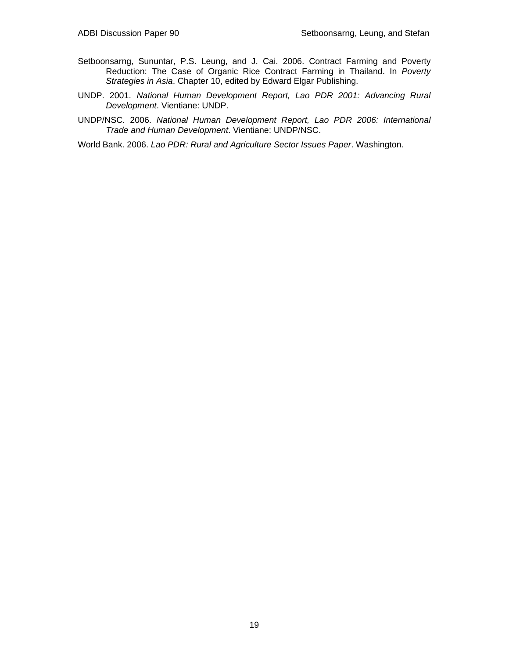- Setboonsarng, Sununtar, P.S. Leung, and J. Cai. 2006. Contract Farming and Poverty Reduction: The Case of Organic Rice Contract Farming in Thailand. In *Poverty Strategies in Asia*. Chapter 10, edited by Edward Elgar Publishing.
- UNDP. 2001. *National Human Development Report, Lao PDR 2001: Advancing Rural Development*. Vientiane: UNDP.
- UNDP/NSC. 2006. *National Human Development Report, Lao PDR 2006: International Trade and Human Development*. Vientiane: UNDP/NSC.
- World Bank. 2006. *Lao PDR: Rural and Agriculture Sector Issues Paper*. Washington.